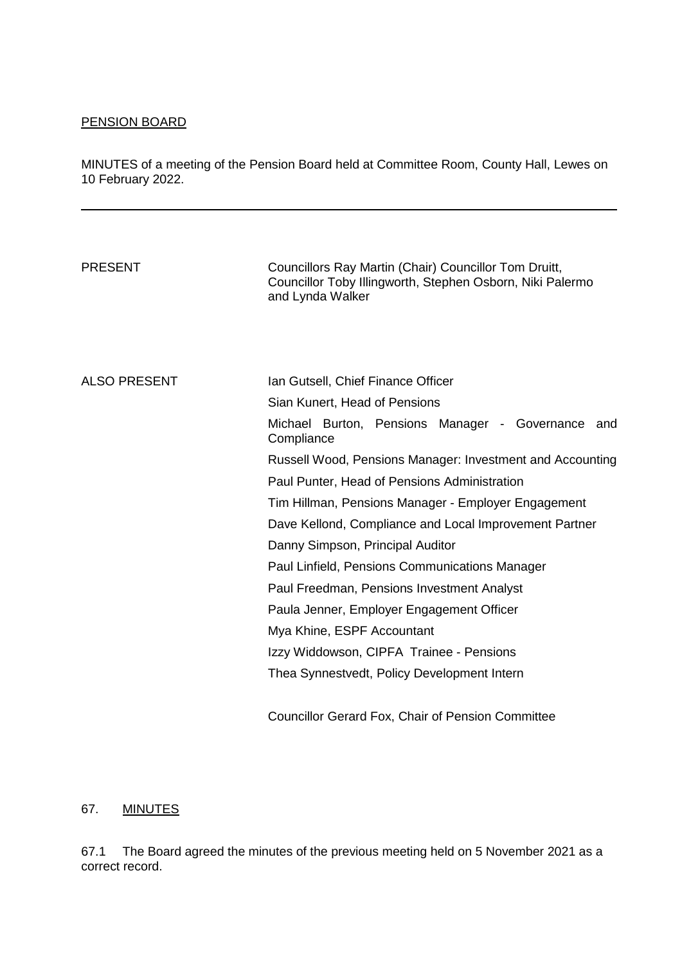# PENSION BOARD

MINUTES of a meeting of the Pension Board held at Committee Room, County Hall, Lewes on 10 February 2022.

| <b>PRESENT</b>      | Councillors Ray Martin (Chair) Councillor Tom Druitt,<br>Councillor Toby Illingworth, Stephen Osborn, Niki Palermo<br>and Lynda Walker |
|---------------------|----------------------------------------------------------------------------------------------------------------------------------------|
| <b>ALSO PRESENT</b> | Ian Gutsell, Chief Finance Officer                                                                                                     |
|                     | Sian Kunert, Head of Pensions<br>Michael Burton, Pensions Manager - Governance and<br>Compliance                                       |
|                     | Russell Wood, Pensions Manager: Investment and Accounting                                                                              |
|                     | Paul Punter, Head of Pensions Administration                                                                                           |
|                     | Tim Hillman, Pensions Manager - Employer Engagement                                                                                    |
|                     | Dave Kellond, Compliance and Local Improvement Partner                                                                                 |
|                     | Danny Simpson, Principal Auditor                                                                                                       |
|                     | Paul Linfield, Pensions Communications Manager                                                                                         |
|                     | Paul Freedman, Pensions Investment Analyst                                                                                             |
|                     | Paula Jenner, Employer Engagement Officer                                                                                              |
|                     | Mya Khine, ESPF Accountant                                                                                                             |
|                     | Izzy Widdowson, CIPFA Trainee - Pensions                                                                                               |
|                     | Thea Synnestvedt, Policy Development Intern                                                                                            |
|                     | <b>Councillor Gerard Fox, Chair of Pension Committee</b>                                                                               |

#### 67. MINUTES

67.1 The Board agreed the minutes of the previous meeting held on 5 November 2021 as a correct record.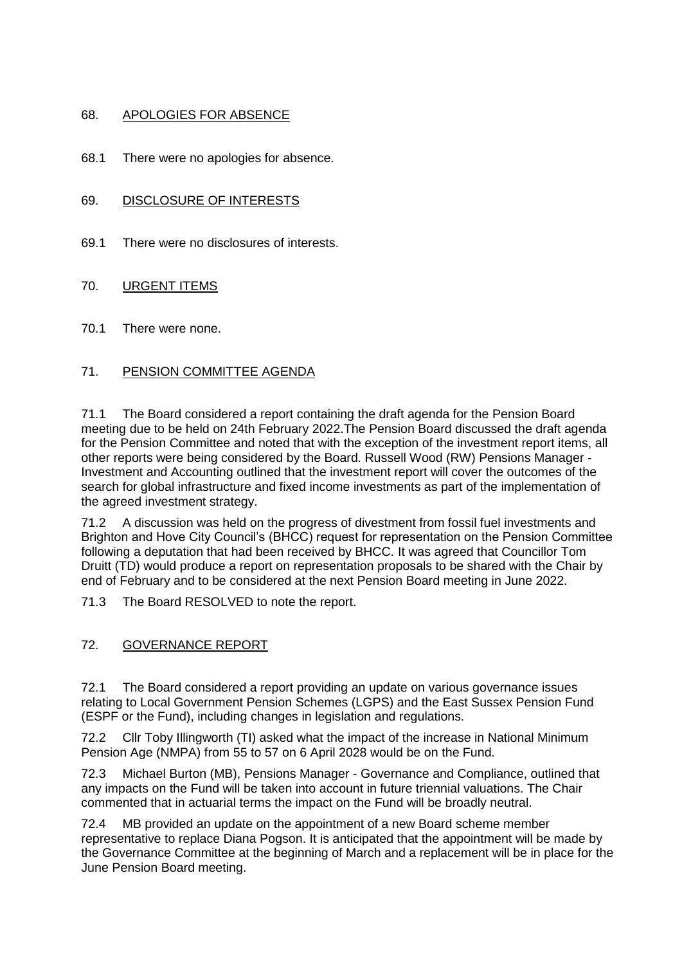### 68. APOLOGIES FOR ABSENCE

68.1 There were no apologies for absence.

### 69. DISCLOSURE OF INTERESTS

69.1 There were no disclosures of interests.

### 70. URGENT ITEMS

70.1 There were none.

## 71. PENSION COMMITTEE AGENDA

71.1 The Board considered a report containing the draft agenda for the Pension Board meeting due to be held on 24th February 2022.The Pension Board discussed the draft agenda for the Pension Committee and noted that with the exception of the investment report items, all other reports were being considered by the Board. Russell Wood (RW) Pensions Manager - Investment and Accounting outlined that the investment report will cover the outcomes of the search for global infrastructure and fixed income investments as part of the implementation of the agreed investment strategy.

71.2 A discussion was held on the progress of divestment from fossil fuel investments and Brighton and Hove City Council's (BHCC) request for representation on the Pension Committee following a deputation that had been received by BHCC. It was agreed that Councillor Tom Druitt (TD) would produce a report on representation proposals to be shared with the Chair by end of February and to be considered at the next Pension Board meeting in June 2022.

71.3 The Board RESOLVED to note the report.

## 72. GOVERNANCE REPORT

72.1 The Board considered a report providing an update on various governance issues relating to Local Government Pension Schemes (LGPS) and the East Sussex Pension Fund (ESPF or the Fund), including changes in legislation and regulations.

72.2 Cllr Toby Illingworth (TI) asked what the impact of the increase in National Minimum Pension Age (NMPA) from 55 to 57 on 6 April 2028 would be on the Fund.

72.3 Michael Burton (MB), Pensions Manager - Governance and Compliance, outlined that any impacts on the Fund will be taken into account in future triennial valuations. The Chair commented that in actuarial terms the impact on the Fund will be broadly neutral.

72.4 MB provided an update on the appointment of a new Board scheme member representative to replace Diana Pogson. It is anticipated that the appointment will be made by the Governance Committee at the beginning of March and a replacement will be in place for the June Pension Board meeting.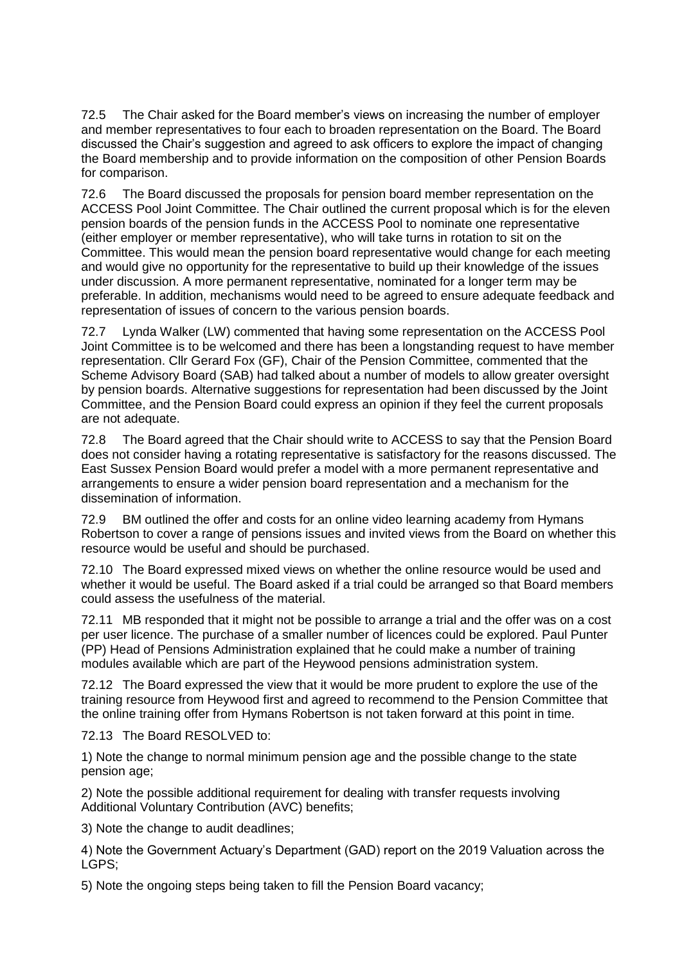72.5 The Chair asked for the Board member's views on increasing the number of employer and member representatives to four each to broaden representation on the Board. The Board discussed the Chair's suggestion and agreed to ask officers to explore the impact of changing the Board membership and to provide information on the composition of other Pension Boards for comparison.

72.6 The Board discussed the proposals for pension board member representation on the ACCESS Pool Joint Committee. The Chair outlined the current proposal which is for the eleven pension boards of the pension funds in the ACCESS Pool to nominate one representative (either employer or member representative), who will take turns in rotation to sit on the Committee. This would mean the pension board representative would change for each meeting and would give no opportunity for the representative to build up their knowledge of the issues under discussion. A more permanent representative, nominated for a longer term may be preferable. In addition, mechanisms would need to be agreed to ensure adequate feedback and representation of issues of concern to the various pension boards.

72.7 Lynda Walker (LW) commented that having some representation on the ACCESS Pool Joint Committee is to be welcomed and there has been a longstanding request to have member representation. Cllr Gerard Fox (GF), Chair of the Pension Committee, commented that the Scheme Advisory Board (SAB) had talked about a number of models to allow greater oversight by pension boards. Alternative suggestions for representation had been discussed by the Joint Committee, and the Pension Board could express an opinion if they feel the current proposals are not adequate.

72.8 The Board agreed that the Chair should write to ACCESS to say that the Pension Board does not consider having a rotating representative is satisfactory for the reasons discussed. The East Sussex Pension Board would prefer a model with a more permanent representative and arrangements to ensure a wider pension board representation and a mechanism for the dissemination of information.

72.9 BM outlined the offer and costs for an online video learning academy from Hymans Robertson to cover a range of pensions issues and invited views from the Board on whether this resource would be useful and should be purchased.

72.10 The Board expressed mixed views on whether the online resource would be used and whether it would be useful. The Board asked if a trial could be arranged so that Board members could assess the usefulness of the material.

72.11 MB responded that it might not be possible to arrange a trial and the offer was on a cost per user licence. The purchase of a smaller number of licences could be explored. Paul Punter (PP) Head of Pensions Administration explained that he could make a number of training modules available which are part of the Heywood pensions administration system.

72.12 The Board expressed the view that it would be more prudent to explore the use of the training resource from Heywood first and agreed to recommend to the Pension Committee that the online training offer from Hymans Robertson is not taken forward at this point in time.

72.13 The Board RESOLVED to:

1) Note the change to normal minimum pension age and the possible change to the state pension age;

2) Note the possible additional requirement for dealing with transfer requests involving Additional Voluntary Contribution (AVC) benefits;

3) Note the change to audit deadlines;

4) Note the Government Actuary's Department (GAD) report on the 2019 Valuation across the LGPS;

5) Note the ongoing steps being taken to fill the Pension Board vacancy;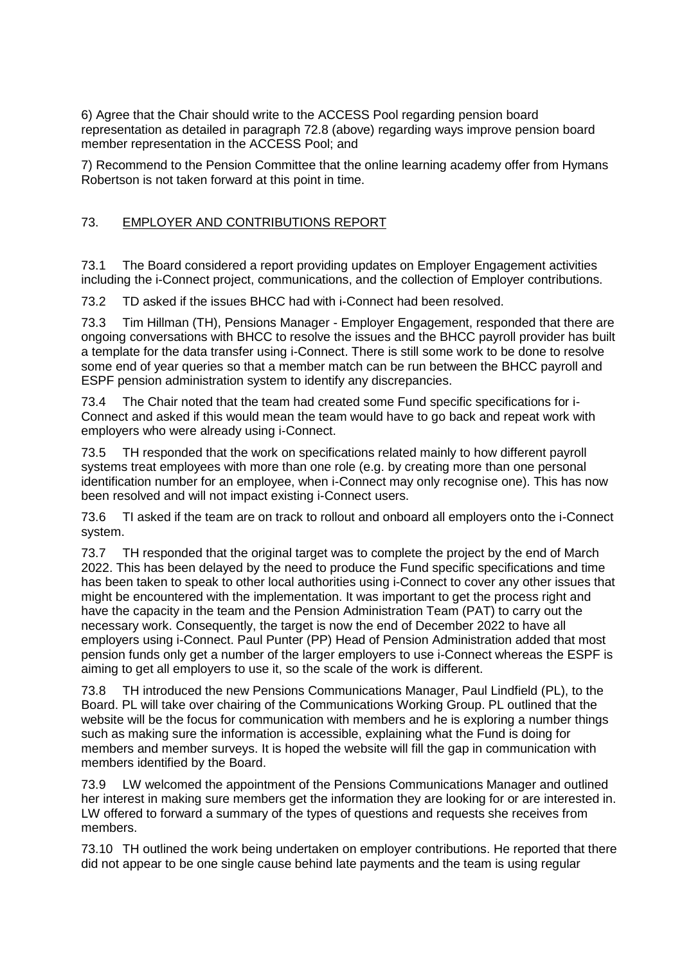6) Agree that the Chair should write to the ACCESS Pool regarding pension board representation as detailed in paragraph 72.8 (above) regarding ways improve pension board member representation in the ACCESS Pool; and

7) Recommend to the Pension Committee that the online learning academy offer from Hymans Robertson is not taken forward at this point in time.

### 73. EMPLOYER AND CONTRIBUTIONS REPORT

73.1 The Board considered a report providing updates on Employer Engagement activities including the i-Connect project, communications, and the collection of Employer contributions.

73.2 TD asked if the issues BHCC had with i-Connect had been resolved.

73.3 Tim Hillman (TH), Pensions Manager - Employer Engagement, responded that there are ongoing conversations with BHCC to resolve the issues and the BHCC payroll provider has built a template for the data transfer using i-Connect. There is still some work to be done to resolve some end of year queries so that a member match can be run between the BHCC payroll and ESPF pension administration system to identify any discrepancies.

73.4 The Chair noted that the team had created some Fund specific specifications for i-Connect and asked if this would mean the team would have to go back and repeat work with employers who were already using i-Connect.

73.5 TH responded that the work on specifications related mainly to how different payroll systems treat employees with more than one role (e.g. by creating more than one personal identification number for an employee, when i-Connect may only recognise one). This has now been resolved and will not impact existing i-Connect users.

73.6 TI asked if the team are on track to rollout and onboard all employers onto the i-Connect system.

73.7 TH responded that the original target was to complete the project by the end of March 2022. This has been delayed by the need to produce the Fund specific specifications and time has been taken to speak to other local authorities using i-Connect to cover any other issues that might be encountered with the implementation. It was important to get the process right and have the capacity in the team and the Pension Administration Team (PAT) to carry out the necessary work. Consequently, the target is now the end of December 2022 to have all employers using i-Connect. Paul Punter (PP) Head of Pension Administration added that most pension funds only get a number of the larger employers to use i-Connect whereas the ESPF is aiming to get all employers to use it, so the scale of the work is different.

73.8 TH introduced the new Pensions Communications Manager, Paul Lindfield (PL), to the Board. PL will take over chairing of the Communications Working Group. PL outlined that the website will be the focus for communication with members and he is exploring a number things such as making sure the information is accessible, explaining what the Fund is doing for members and member surveys. It is hoped the website will fill the gap in communication with members identified by the Board.

73.9 LW welcomed the appointment of the Pensions Communications Manager and outlined her interest in making sure members get the information they are looking for or are interested in. LW offered to forward a summary of the types of questions and requests she receives from members.

73.10 TH outlined the work being undertaken on employer contributions. He reported that there did not appear to be one single cause behind late payments and the team is using regular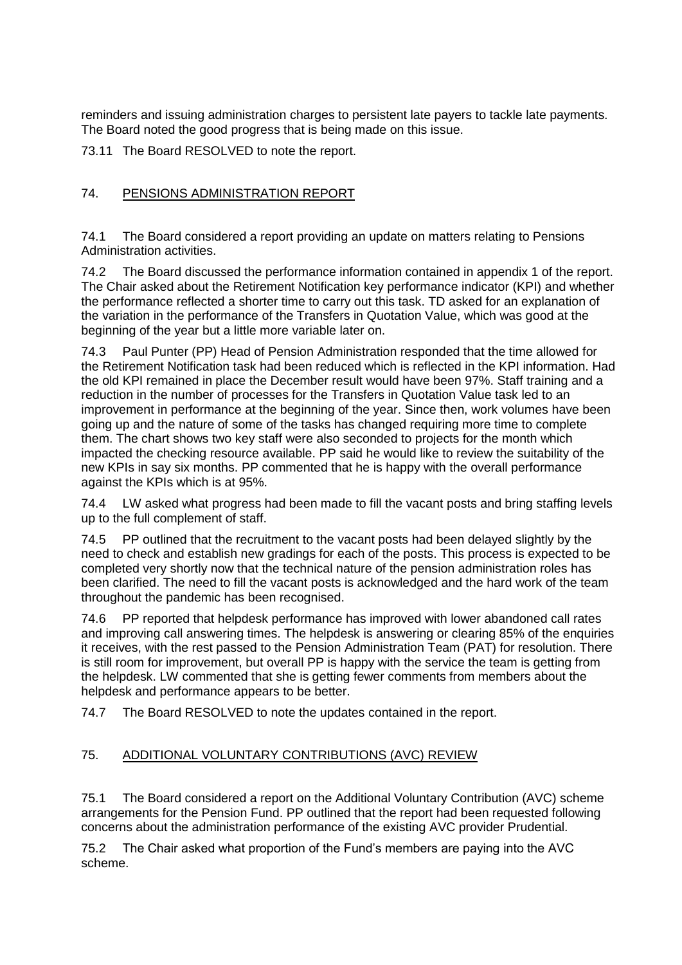reminders and issuing administration charges to persistent late payers to tackle late payments. The Board noted the good progress that is being made on this issue.

73.11 The Board RESOLVED to note the report.

# 74. PENSIONS ADMINISTRATION REPORT

74.1 The Board considered a report providing an update on matters relating to Pensions Administration activities.

74.2 The Board discussed the performance information contained in appendix 1 of the report. The Chair asked about the Retirement Notification key performance indicator (KPI) and whether the performance reflected a shorter time to carry out this task. TD asked for an explanation of the variation in the performance of the Transfers in Quotation Value, which was good at the beginning of the year but a little more variable later on.

74.3 Paul Punter (PP) Head of Pension Administration responded that the time allowed for the Retirement Notification task had been reduced which is reflected in the KPI information. Had the old KPI remained in place the December result would have been 97%. Staff training and a reduction in the number of processes for the Transfers in Quotation Value task led to an improvement in performance at the beginning of the year. Since then, work volumes have been going up and the nature of some of the tasks has changed requiring more time to complete them. The chart shows two key staff were also seconded to projects for the month which impacted the checking resource available. PP said he would like to review the suitability of the new KPIs in say six months. PP commented that he is happy with the overall performance against the KPIs which is at 95%.

74.4 LW asked what progress had been made to fill the vacant posts and bring staffing levels up to the full complement of staff.

74.5 PP outlined that the recruitment to the vacant posts had been delayed slightly by the need to check and establish new gradings for each of the posts. This process is expected to be completed very shortly now that the technical nature of the pension administration roles has been clarified. The need to fill the vacant posts is acknowledged and the hard work of the team throughout the pandemic has been recognised.

74.6 PP reported that helpdesk performance has improved with lower abandoned call rates and improving call answering times. The helpdesk is answering or clearing 85% of the enquiries it receives, with the rest passed to the Pension Administration Team (PAT) for resolution. There is still room for improvement, but overall PP is happy with the service the team is getting from the helpdesk. LW commented that she is getting fewer comments from members about the helpdesk and performance appears to be better.

74.7 The Board RESOLVED to note the updates contained in the report.

## 75. ADDITIONAL VOLUNTARY CONTRIBUTIONS (AVC) REVIEW

75.1 The Board considered a report on the Additional Voluntary Contribution (AVC) scheme arrangements for the Pension Fund. PP outlined that the report had been requested following concerns about the administration performance of the existing AVC provider Prudential.

75.2 The Chair asked what proportion of the Fund's members are paying into the AVC scheme.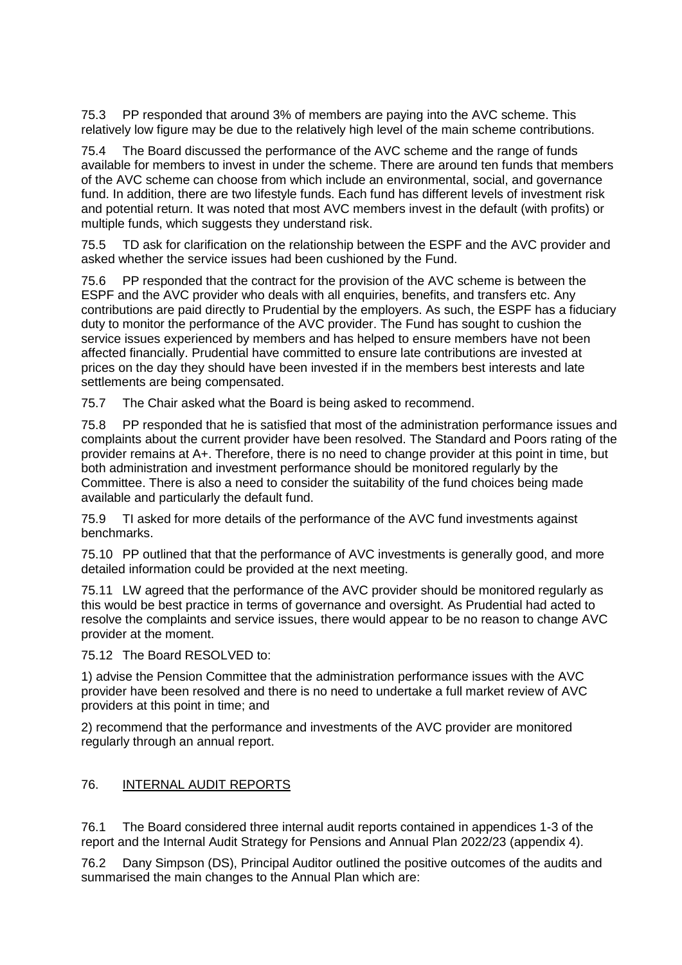75.3 PP responded that around 3% of members are paying into the AVC scheme. This relatively low figure may be due to the relatively high level of the main scheme contributions.

75.4 The Board discussed the performance of the AVC scheme and the range of funds available for members to invest in under the scheme. There are around ten funds that members of the AVC scheme can choose from which include an environmental, social, and governance fund. In addition, there are two lifestyle funds. Each fund has different levels of investment risk and potential return. It was noted that most AVC members invest in the default (with profits) or multiple funds, which suggests they understand risk.

75.5 TD ask for clarification on the relationship between the ESPF and the AVC provider and asked whether the service issues had been cushioned by the Fund.

75.6 PP responded that the contract for the provision of the AVC scheme is between the ESPF and the AVC provider who deals with all enquiries, benefits, and transfers etc. Any contributions are paid directly to Prudential by the employers. As such, the ESPF has a fiduciary duty to monitor the performance of the AVC provider. The Fund has sought to cushion the service issues experienced by members and has helped to ensure members have not been affected financially. Prudential have committed to ensure late contributions are invested at prices on the day they should have been invested if in the members best interests and late settlements are being compensated.

75.7 The Chair asked what the Board is being asked to recommend.

75.8 PP responded that he is satisfied that most of the administration performance issues and complaints about the current provider have been resolved. The Standard and Poors rating of the provider remains at A+. Therefore, there is no need to change provider at this point in time, but both administration and investment performance should be monitored regularly by the Committee. There is also a need to consider the suitability of the fund choices being made available and particularly the default fund.

75.9 TI asked for more details of the performance of the AVC fund investments against benchmarks.

75.10 PP outlined that that the performance of AVC investments is generally good, and more detailed information could be provided at the next meeting.

75.11 LW agreed that the performance of the AVC provider should be monitored regularly as this would be best practice in terms of governance and oversight. As Prudential had acted to resolve the complaints and service issues, there would appear to be no reason to change AVC provider at the moment.

75.12 The Board RESOLVED to:

1) advise the Pension Committee that the administration performance issues with the AVC provider have been resolved and there is no need to undertake a full market review of AVC providers at this point in time; and

2) recommend that the performance and investments of the AVC provider are monitored regularly through an annual report.

#### 76. INTERNAL AUDIT REPORTS

76.1 The Board considered three internal audit reports contained in appendices 1-3 of the report and the Internal Audit Strategy for Pensions and Annual Plan 2022/23 (appendix 4).

76.2 Dany Simpson (DS), Principal Auditor outlined the positive outcomes of the audits and summarised the main changes to the Annual Plan which are: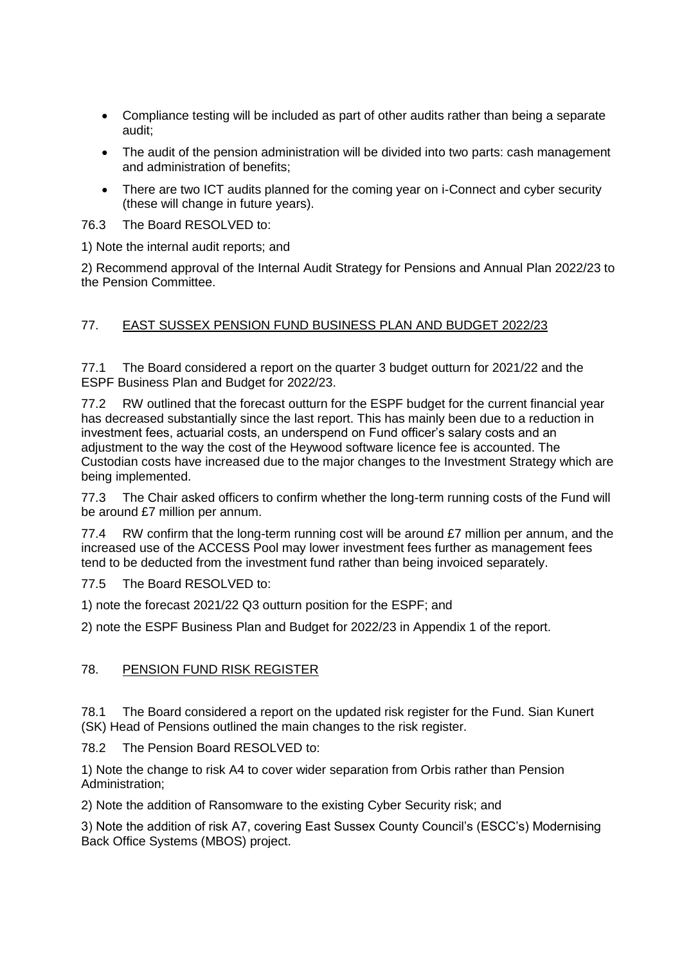- Compliance testing will be included as part of other audits rather than being a separate audit;
- The audit of the pension administration will be divided into two parts: cash management and administration of benefits;
- There are two ICT audits planned for the coming year on i-Connect and cyber security (these will change in future years).

76.3 The Board RESOLVED to:

1) Note the internal audit reports; and

2) Recommend approval of the Internal Audit Strategy for Pensions and Annual Plan 2022/23 to the Pension Committee.

## 77. EAST SUSSEX PENSION FUND BUSINESS PLAN AND BUDGET 2022/23

77.1 The Board considered a report on the quarter 3 budget outturn for 2021/22 and the ESPF Business Plan and Budget for 2022/23.

77.2 RW outlined that the forecast outturn for the ESPF budget for the current financial year has decreased substantially since the last report. This has mainly been due to a reduction in investment fees, actuarial costs, an underspend on Fund officer's salary costs and an adjustment to the way the cost of the Heywood software licence fee is accounted. The Custodian costs have increased due to the major changes to the Investment Strategy which are being implemented.

77.3 The Chair asked officers to confirm whether the long-term running costs of the Fund will be around £7 million per annum.

77.4 RW confirm that the long-term running cost will be around £7 million per annum, and the increased use of the ACCESS Pool may lower investment fees further as management fees tend to be deducted from the investment fund rather than being invoiced separately.

77.5 The Board RESOLVED to:

1) note the forecast 2021/22 Q3 outturn position for the ESPF; and

2) note the ESPF Business Plan and Budget for 2022/23 in Appendix 1 of the report.

## 78. PENSION FUND RISK REGISTER

78.1 The Board considered a report on the updated risk register for the Fund. Sian Kunert (SK) Head of Pensions outlined the main changes to the risk register.

78.2 The Pension Board RESOLVED to:

1) Note the change to risk A4 to cover wider separation from Orbis rather than Pension Administration;

2) Note the addition of Ransomware to the existing Cyber Security risk; and

3) Note the addition of risk A7, covering East Sussex County Council's (ESCC's) Modernising Back Office Systems (MBOS) project.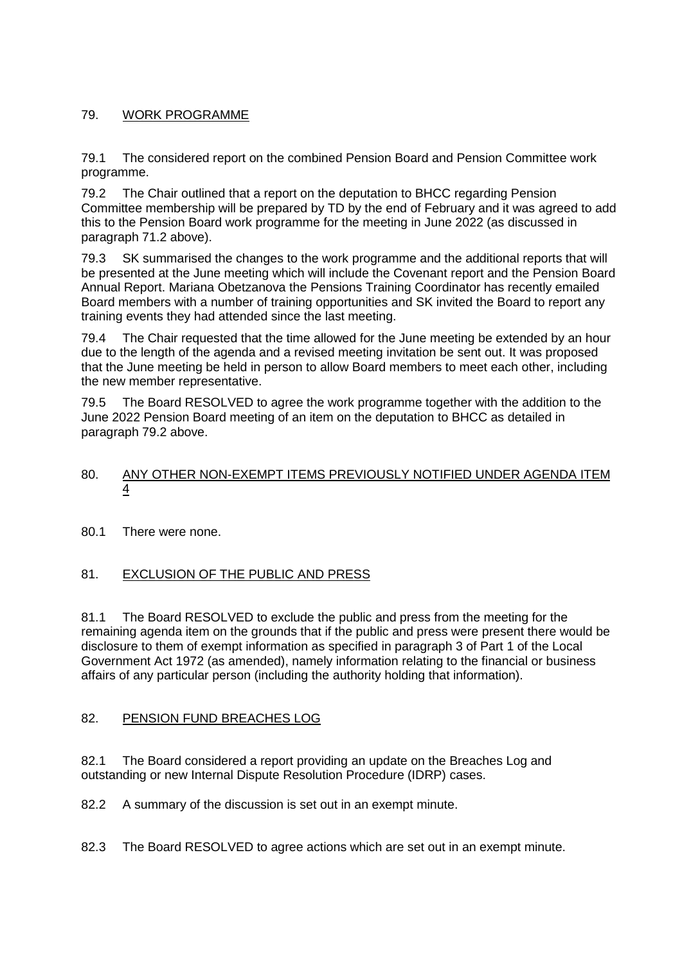# 79. WORK PROGRAMME

79.1 The considered report on the combined Pension Board and Pension Committee work programme.

79.2 The Chair outlined that a report on the deputation to BHCC regarding Pension Committee membership will be prepared by TD by the end of February and it was agreed to add this to the Pension Board work programme for the meeting in June 2022 (as discussed in paragraph 71.2 above).

79.3 SK summarised the changes to the work programme and the additional reports that will be presented at the June meeting which will include the Covenant report and the Pension Board Annual Report. Mariana Obetzanova the Pensions Training Coordinator has recently emailed Board members with a number of training opportunities and SK invited the Board to report any training events they had attended since the last meeting.

79.4 The Chair requested that the time allowed for the June meeting be extended by an hour due to the length of the agenda and a revised meeting invitation be sent out. It was proposed that the June meeting be held in person to allow Board members to meet each other, including the new member representative.

79.5 The Board RESOLVED to agree the work programme together with the addition to the June 2022 Pension Board meeting of an item on the deputation to BHCC as detailed in paragraph 79.2 above.

### 80. ANY OTHER NON-EXEMPT ITEMS PREVIOUSLY NOTIFIED UNDER AGENDA ITEM 4

80.1 There were none.

## 81. EXCLUSION OF THE PUBLIC AND PRESS

81.1 The Board RESOLVED to exclude the public and press from the meeting for the remaining agenda item on the grounds that if the public and press were present there would be disclosure to them of exempt information as specified in paragraph 3 of Part 1 of the Local Government Act 1972 (as amended), namely information relating to the financial or business affairs of any particular person (including the authority holding that information).

#### 82. PENSION FUND BREACHES LOG

82.1 The Board considered a report providing an update on the Breaches Log and outstanding or new Internal Dispute Resolution Procedure (IDRP) cases.

82.2 A summary of the discussion is set out in an exempt minute.

82.3 The Board RESOLVED to agree actions which are set out in an exempt minute.